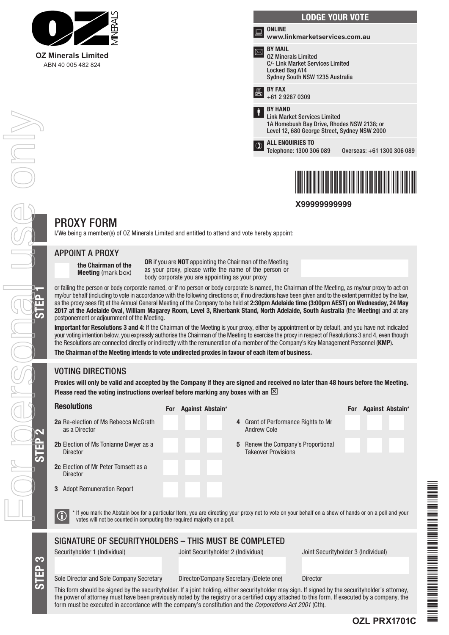

| <b>LODGE YOUR VOTE</b>                                                                                                                              |
|-----------------------------------------------------------------------------------------------------------------------------------------------------|
| <b>ONLINE</b><br>www.linkmarketservices.com.au                                                                                                      |
| <b>BY MAIL</b><br><b>0Z Minerals Limited</b><br>C/- Link Market Services Limited<br>Locked Bag A14<br>Sydney South NSW 1235 Australia               |
| <b>BY FAX</b><br>+61 2 9287 0309                                                                                                                    |
| <b>BY HAND</b><br><b>Link Market Services Limited</b><br>1A Homebush Bay Drive, Rhodes NSW 2138; or<br>Level 12, 680 George Street, Sydney NSW 2000 |
| <b>ALL ENQUIRIES TO</b><br>Telephone: 1300 306 089<br>Overseas: +61 1300 306 089                                                                    |
|                                                                                                                                                     |

**X99999999999**

\*X99999999999\*

# PROXY FORM

I/We being a member(s) of OZ Minerals Limited and entitled to attend and vote hereby appoint:

### APPOINT A PROXY

the Chairman of the Meeting (mark box)

OR if you are NOT appointing the Chairman of the Meeting as your proxy, please write the name of the person or body corporate you are appointing as your proxy

or failing the person or body corporate named, or if no person or body corporate is named, the Chairman of the Meeting, as my/our proxy to act on<br>my/our behalf (including to vote in accordance with the following directions my/our behalf (including to vote in accordance with the following directions or, if no directions have been given and to the extent permitted by the law, as the proxy sees fit) at the Annual General Meeting of the Company to be held at 2:30pm Adelaide time (3:00pm AEST) on Wednesday, 24 May 2017 at the Adelaide Oval, William Magarey Room, Level 3, Riverbank Stand, North Adelaide, South Australia (the Meeting) and at any postponement or adjournment of the Meeting.

Important for Resolutions 3 and 4: If the Chairman of the Meeting is your proxy, either by appointment or by default, and you have not indicated your voting intention below, you expressly authorise the Chairman of the Meeting to exercise the proxy in respect of Resolutions 3 and 4, even though the Resolutions are connected directly or indirectly with the remuneration of a member of the Company's Key Management Personnel (KMP).

The Chairman of the Meeting intends to vote undirected proxies in favour of each item of business.

## VOTING DIRECTIONS

Proxies will only be valid and accepted by the Company if they are signed and received no later than 48 hours before the Meeting. Please read the voting instructions overleaf before marking any boxes with an  $\boxtimes$ 

| <b>Resolutions</b>                                                                                                                                                                                                                                                   |  | For Against Abstain*                    |   |                                                                |                                     |  | For Against Abstain* |  |  |
|----------------------------------------------------------------------------------------------------------------------------------------------------------------------------------------------------------------------------------------------------------------------|--|-----------------------------------------|---|----------------------------------------------------------------|-------------------------------------|--|----------------------|--|--|
| <b>2a</b> Re-election of Ms Rebecca McGrath<br>as a Director                                                                                                                                                                                                         |  |                                         |   | 4 Grant of Performance Rights to Mr<br><b>Andrew Cole</b>      |                                     |  |                      |  |  |
| 2b Election of Ms Tonianne Dwyer as a<br>Director                                                                                                                                                                                                                    |  |                                         | 5 | Renew the Company's Proportional<br><b>Takeover Provisions</b> |                                     |  |                      |  |  |
| <b>2c</b> Election of Mr Peter Tomsett as a<br><b>Director</b>                                                                                                                                                                                                       |  |                                         |   |                                                                |                                     |  |                      |  |  |
| <b>3</b> Adopt Remuneration Report                                                                                                                                                                                                                                   |  |                                         |   |                                                                |                                     |  |                      |  |  |
| * If you mark the Abstain box for a particular Item, you are directing your proxy not to vote on your behalf on a show of hands or on a poll and your<br>votes will not be counted in computing the required majority on a poll.                                     |  |                                         |   |                                                                |                                     |  |                      |  |  |
| SIGNATURE OF SECURITYHOLDERS - THIS MUST BE COMPLETED                                                                                                                                                                                                                |  |                                         |   |                                                                |                                     |  |                      |  |  |
| Securityholder 1 (Individual)                                                                                                                                                                                                                                        |  | Joint Securityholder 2 (Individual)     |   |                                                                | Joint Securityholder 3 (Individual) |  |                      |  |  |
|                                                                                                                                                                                                                                                                      |  |                                         |   |                                                                |                                     |  |                      |  |  |
| Sole Director and Sole Company Secretary                                                                                                                                                                                                                             |  | Director/Company Secretary (Delete one) |   |                                                                | <b>Director</b>                     |  |                      |  |  |
| This form should be signed by the securityholder. If a joint holding, either securityholder may sign. If signed by the securityholder's attorney,<br>a a constituido de la construir de la ciudad de la ciudad de la de 1995 de la ciudad de la decidad de la ciudad |  |                                         |   |                                                                |                                     |  |                      |  |  |

\*OZL PRZEZ PRZEZ PRZEZ PRZEZ PRZEZ PRZEZ PRZEZ PRZEZ PRZEZ PRZEZ PRZEZ PRZEZ PRZEZ PRZEZ PRZEZ PRZEZ PRZEZ PRZ THE REAL PROPERTY AND A REAL PROPERTY AND A REAL PROPERTY AND A REAL PROPERTY. the power of attorney must have been previously noted by the registry or a certified copy attached to this form. If executed by a company, the form must be executed in accordance with the company's constitution and the *Corporations Act 2001* (Cth).

STEP 3